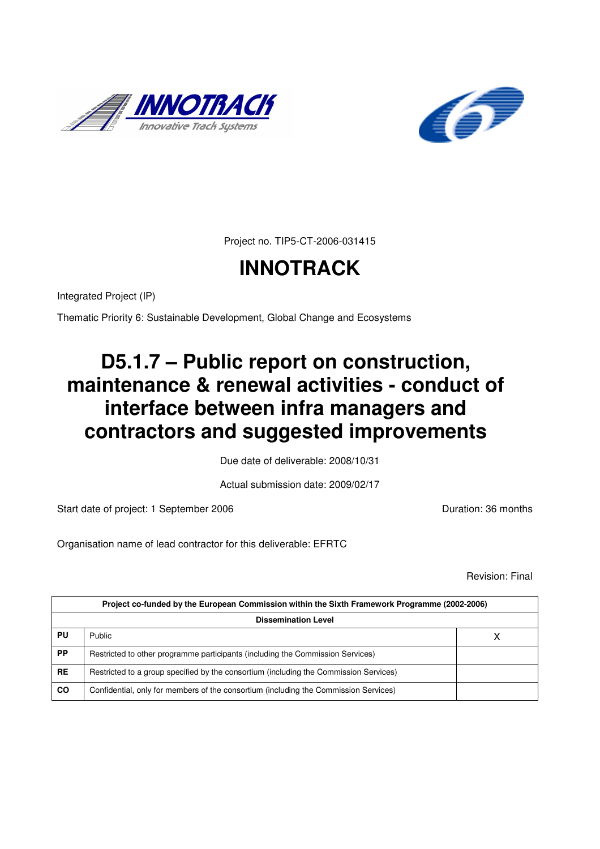



Project no. TIP5-CT-2006-031415

# **INNOTRACK**

Integrated Project (IP)

Thematic Priority 6: Sustainable Development, Global Change and Ecosystems

# **D5.1.7 – Public report on construction, maintenance & renewal activities - conduct of interface between infra managers and contractors and suggested improvements**

Due date of deliverable: 2008/10/31

Actual submission date: 2009/02/17

Start date of project: 1 September 2006 **Duration: 36 months** Duration: 36 months

Organisation name of lead contractor for this deliverable: EFRTC

Revision: Final

| Project co-funded by the European Commission within the Sixth Framework Programme (2002-2006) |                                                                                       |  |  |
|-----------------------------------------------------------------------------------------------|---------------------------------------------------------------------------------------|--|--|
| <b>Dissemination Level</b>                                                                    |                                                                                       |  |  |
| PU                                                                                            | Public                                                                                |  |  |
| <b>PP</b>                                                                                     | Restricted to other programme participants (including the Commission Services)        |  |  |
| <b>RE</b>                                                                                     | Restricted to a group specified by the consortium (including the Commission Services) |  |  |
| CO                                                                                            | Confidential, only for members of the consortium (including the Commission Services)  |  |  |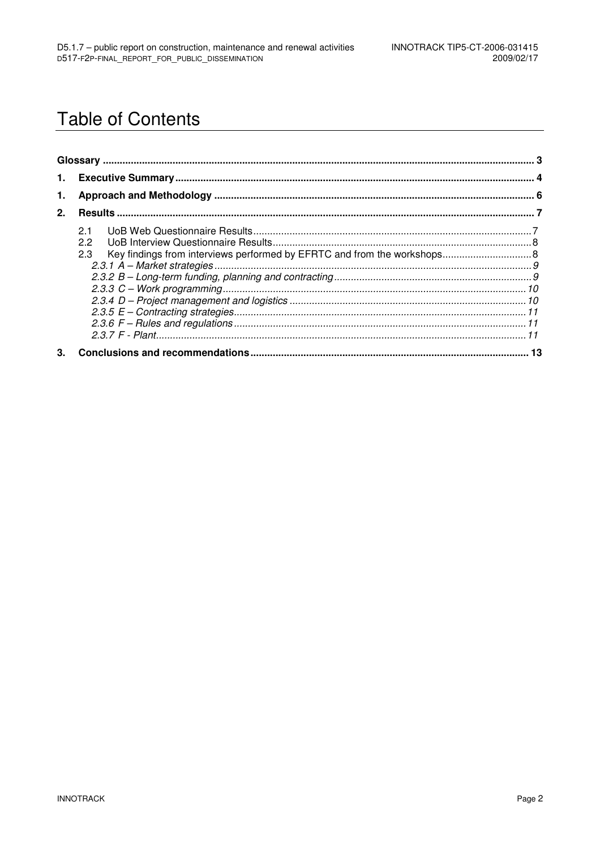## **Table of Contents**

| 1.             |                            |  |  |
|----------------|----------------------------|--|--|
| 2 <sub>1</sub> |                            |  |  |
|                | 21<br>$2.2^{\circ}$<br>2.3 |  |  |
| 3.             |                            |  |  |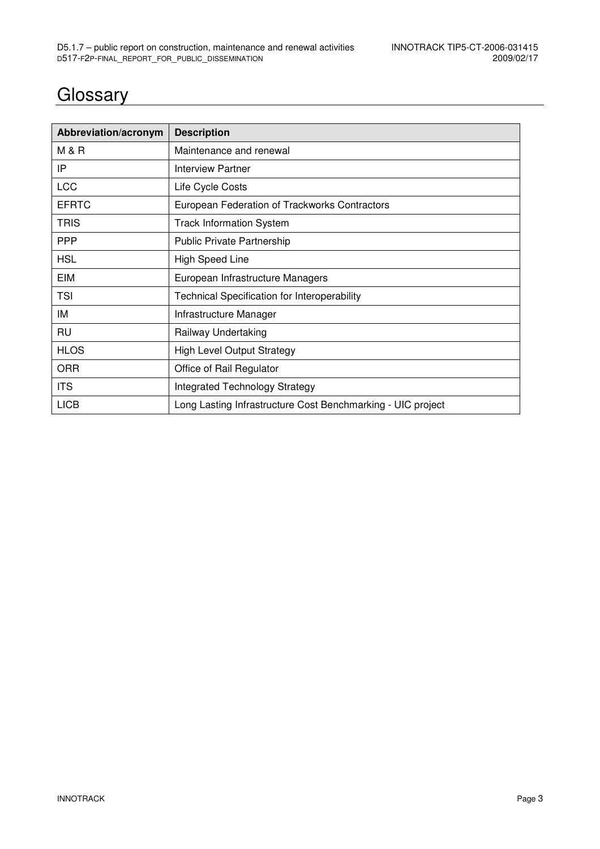## **Glossary**

| Abbreviation/acronym | <b>Description</b>                                          |
|----------------------|-------------------------------------------------------------|
| <b>M &amp; R</b>     | Maintenance and renewal                                     |
| IP                   | Interview Partner                                           |
| <b>LCC</b>           | Life Cycle Costs                                            |
| <b>EFRTC</b>         | European Federation of Trackworks Contractors               |
| <b>TRIS</b>          | <b>Track Information System</b>                             |
| <b>PPP</b>           | <b>Public Private Partnership</b>                           |
| <b>HSL</b>           | <b>High Speed Line</b>                                      |
| <b>EIM</b>           | European Infrastructure Managers                            |
| <b>TSI</b>           | <b>Technical Specification for Interoperability</b>         |
| IM                   | Infrastructure Manager                                      |
| <b>RU</b>            | Railway Undertaking                                         |
| <b>HLOS</b>          | <b>High Level Output Strategy</b>                           |
| <b>ORR</b>           | Office of Rail Regulator                                    |
| <b>ITS</b>           | Integrated Technology Strategy                              |
| <b>LICB</b>          | Long Lasting Infrastructure Cost Benchmarking - UIC project |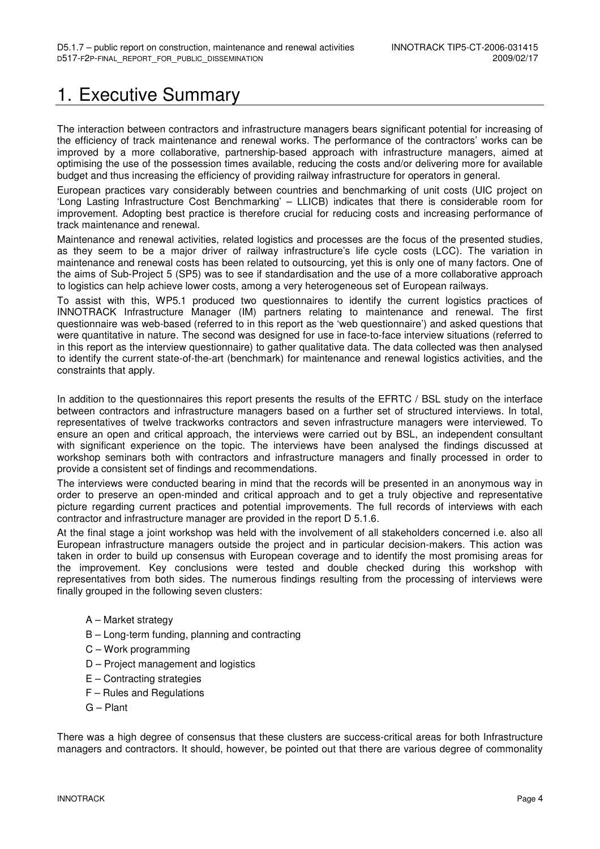## 1. Executive Summary

The interaction between contractors and infrastructure managers bears significant potential for increasing of the efficiency of track maintenance and renewal works. The performance of the contractors' works can be improved by a more collaborative, partnership-based approach with infrastructure managers, aimed at optimising the use of the possession times available, reducing the costs and/or delivering more for available budget and thus increasing the efficiency of providing railway infrastructure for operators in general.

European practices vary considerably between countries and benchmarking of unit costs (UIC project on 'Long Lasting Infrastructure Cost Benchmarking' – LLICB) indicates that there is considerable room for improvement. Adopting best practice is therefore crucial for reducing costs and increasing performance of track maintenance and renewal.

Maintenance and renewal activities, related logistics and processes are the focus of the presented studies, as they seem to be a major driver of railway infrastructure's life cycle costs (LCC). The variation in maintenance and renewal costs has been related to outsourcing, yet this is only one of many factors. One of the aims of Sub-Project 5 (SP5) was to see if standardisation and the use of a more collaborative approach to logistics can help achieve lower costs, among a very heterogeneous set of European railways.

To assist with this, WP5.1 produced two questionnaires to identify the current logistics practices of INNOTRACK Infrastructure Manager (IM) partners relating to maintenance and renewal. The first questionnaire was web-based (referred to in this report as the 'web questionnaire') and asked questions that were quantitative in nature. The second was designed for use in face-to-face interview situations (referred to in this report as the interview questionnaire) to gather qualitative data. The data collected was then analysed to identify the current state-of-the-art (benchmark) for maintenance and renewal logistics activities, and the constraints that apply.

In addition to the questionnaires this report presents the results of the EFRTC / BSL study on the interface between contractors and infrastructure managers based on a further set of structured interviews. In total, representatives of twelve trackworks contractors and seven infrastructure managers were interviewed. To ensure an open and critical approach, the interviews were carried out by BSL, an independent consultant with significant experience on the topic. The interviews have been analysed the findings discussed at workshop seminars both with contractors and infrastructure managers and finally processed in order to provide a consistent set of findings and recommendations.

The interviews were conducted bearing in mind that the records will be presented in an anonymous way in order to preserve an open-minded and critical approach and to get a truly objective and representative picture regarding current practices and potential improvements. The full records of interviews with each contractor and infrastructure manager are provided in the report D 5.1.6.

At the final stage a joint workshop was held with the involvement of all stakeholders concerned i.e. also all European infrastructure managers outside the project and in particular decision-makers. This action was taken in order to build up consensus with European coverage and to identify the most promising areas for the improvement. Key conclusions were tested and double checked during this workshop with representatives from both sides. The numerous findings resulting from the processing of interviews were finally grouped in the following seven clusters:

- A Market strategy
- B Long-term funding, planning and contracting
- C Work programming
- D Project management and logistics
- E Contracting strategies
- F Rules and Regulations
- G Plant

There was a high degree of consensus that these clusters are success-critical areas for both Infrastructure managers and contractors. It should, however, be pointed out that there are various degree of commonality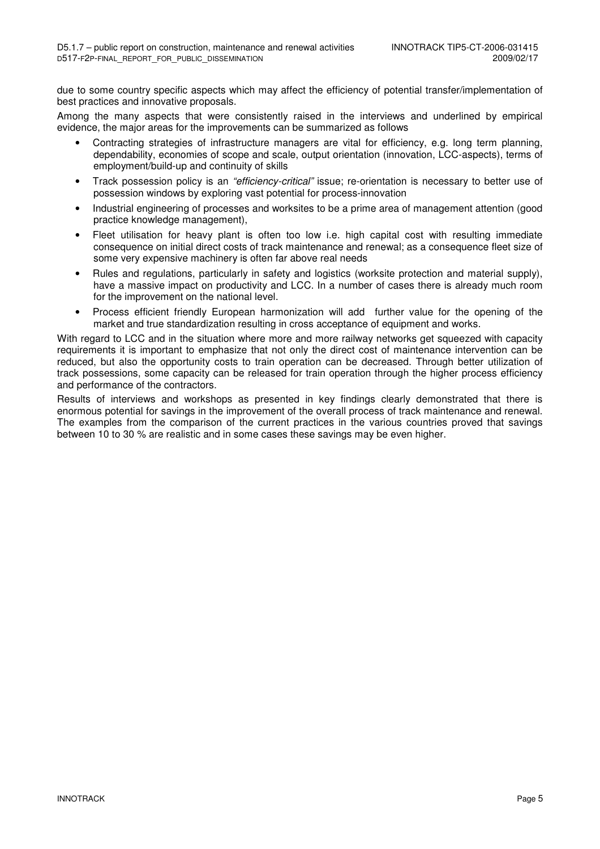due to some country specific aspects which may affect the efficiency of potential transfer/implementation of best practices and innovative proposals.

Among the many aspects that were consistently raised in the interviews and underlined by empirical evidence, the major areas for the improvements can be summarized as follows

- Contracting strategies of infrastructure managers are vital for efficiency, e.g. long term planning, dependability, economies of scope and scale, output orientation (innovation, LCC-aspects), terms of employment/build-up and continuity of skills
- Track possession policy is an "efficiency-critical" issue; re-orientation is necessary to better use of possession windows by exploring vast potential for process-innovation
- Industrial engineering of processes and worksites to be a prime area of management attention (good practice knowledge management),
- Fleet utilisation for heavy plant is often too low i.e. high capital cost with resulting immediate consequence on initial direct costs of track maintenance and renewal; as a consequence fleet size of some very expensive machinery is often far above real needs
- Rules and regulations, particularly in safety and logistics (worksite protection and material supply), have a massive impact on productivity and LCC. In a number of cases there is already much room for the improvement on the national level.
- Process efficient friendly European harmonization will add further value for the opening of the market and true standardization resulting in cross acceptance of equipment and works.

With regard to LCC and in the situation where more and more railway networks get squeezed with capacity requirements it is important to emphasize that not only the direct cost of maintenance intervention can be reduced, but also the opportunity costs to train operation can be decreased. Through better utilization of track possessions, some capacity can be released for train operation through the higher process efficiency and performance of the contractors.

Results of interviews and workshops as presented in key findings clearly demonstrated that there is enormous potential for savings in the improvement of the overall process of track maintenance and renewal. The examples from the comparison of the current practices in the various countries proved that savings between 10 to 30 % are realistic and in some cases these savings may be even higher.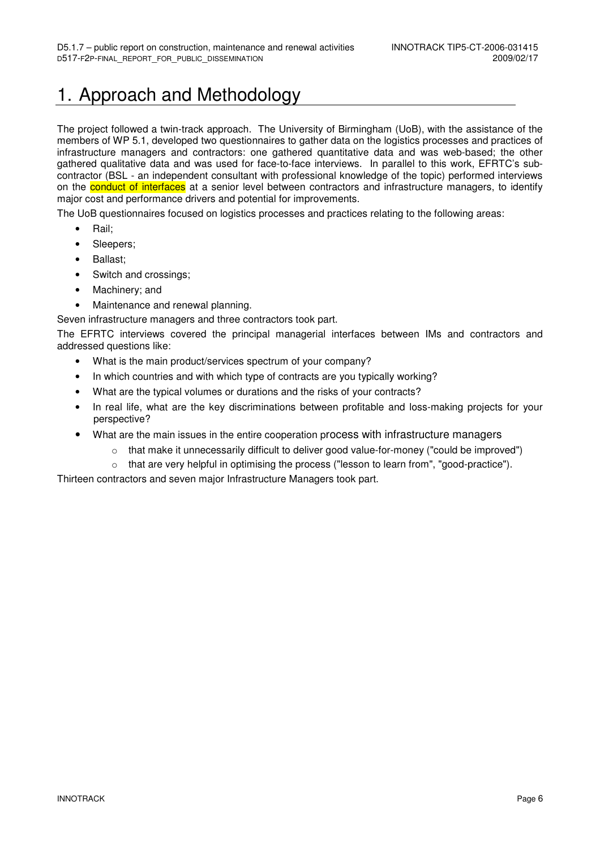## 1. Approach and Methodology

The project followed a twin-track approach. The University of Birmingham (UoB), with the assistance of the members of WP 5.1, developed two questionnaires to gather data on the logistics processes and practices of infrastructure managers and contractors: one gathered quantitative data and was web-based; the other gathered qualitative data and was used for face-to-face interviews. In parallel to this work, EFRTC's subcontractor (BSL - an independent consultant with professional knowledge of the topic) performed interviews on the **conduct of interfaces** at a senior level between contractors and infrastructure managers, to identify major cost and performance drivers and potential for improvements.

The UoB questionnaires focused on logistics processes and practices relating to the following areas:

- Rail;
- Sleepers:
- Ballast;
- Switch and crossings;
- Machinery; and
- Maintenance and renewal planning.

Seven infrastructure managers and three contractors took part.

The EFRTC interviews covered the principal managerial interfaces between IMs and contractors and addressed questions like:

- What is the main product/services spectrum of your company?
- In which countries and with which type of contracts are you typically working?
- What are the typical volumes or durations and the risks of your contracts?
- In real life, what are the key discriminations between profitable and loss-making projects for your perspective?
- What are the main issues in the entire cooperation process with infrastructure managers
	- $\circ$  that make it unnecessarily difficult to deliver good value-for-money ("could be improved")
	- $\circ$  that are very helpful in optimising the process ("lesson to learn from", "good-practice").

Thirteen contractors and seven major Infrastructure Managers took part.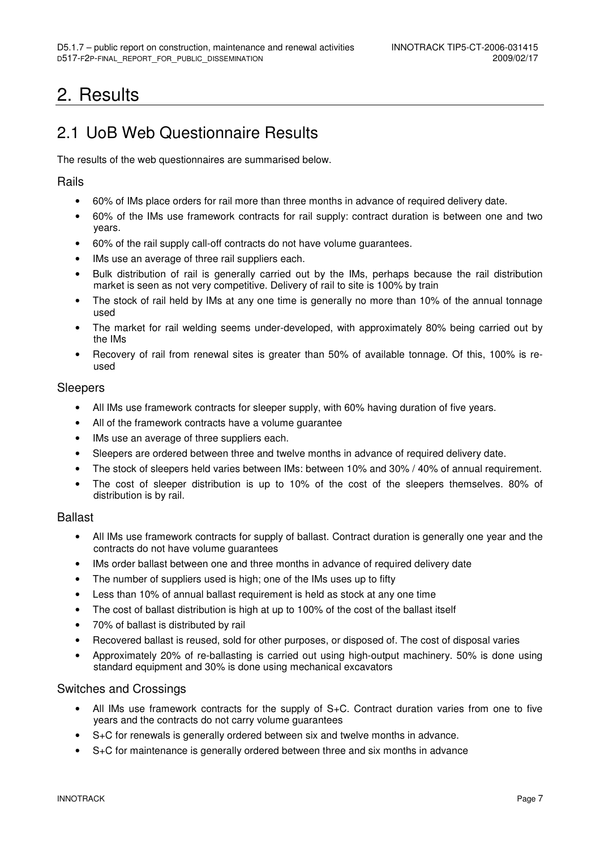## 2. Results

## 2.1 UoB Web Questionnaire Results

The results of the web questionnaires are summarised below.

#### Rails

- 60% of IMs place orders for rail more than three months in advance of required delivery date.
- 60% of the IMs use framework contracts for rail supply: contract duration is between one and two years.
- 60% of the rail supply call-off contracts do not have volume guarantees.
- IMs use an average of three rail suppliers each.
- Bulk distribution of rail is generally carried out by the IMs, perhaps because the rail distribution market is seen as not very competitive. Delivery of rail to site is 100% by train
- The stock of rail held by IMs at any one time is generally no more than 10% of the annual tonnage used
- The market for rail welding seems under-developed, with approximately 80% being carried out by the IMs
- Recovery of rail from renewal sites is greater than 50% of available tonnage. Of this, 100% is reused

#### Sleepers

- All IMs use framework contracts for sleeper supply, with 60% having duration of five years.
- All of the framework contracts have a volume guarantee
- IMs use an average of three suppliers each.
- Sleepers are ordered between three and twelve months in advance of required delivery date.
- The stock of sleepers held varies between IMs: between 10% and 30% / 40% of annual requirement.
- The cost of sleeper distribution is up to 10% of the cost of the sleepers themselves. 80% of distribution is by rail.

#### **Ballast**

- All IMs use framework contracts for supply of ballast. Contract duration is generally one year and the contracts do not have volume guarantees
- IMs order ballast between one and three months in advance of required delivery date
- The number of suppliers used is high; one of the IMs uses up to fifty
- Less than 10% of annual ballast requirement is held as stock at any one time
- The cost of ballast distribution is high at up to 100% of the cost of the ballast itself
- 70% of ballast is distributed by rail
- Recovered ballast is reused, sold for other purposes, or disposed of. The cost of disposal varies
- Approximately 20% of re-ballasting is carried out using high-output machinery. 50% is done using standard equipment and 30% is done using mechanical excavators

#### Switches and Crossings

- All IMs use framework contracts for the supply of S+C. Contract duration varies from one to five years and the contracts do not carry volume guarantees
- S+C for renewals is generally ordered between six and twelve months in advance.
- S+C for maintenance is generally ordered between three and six months in advance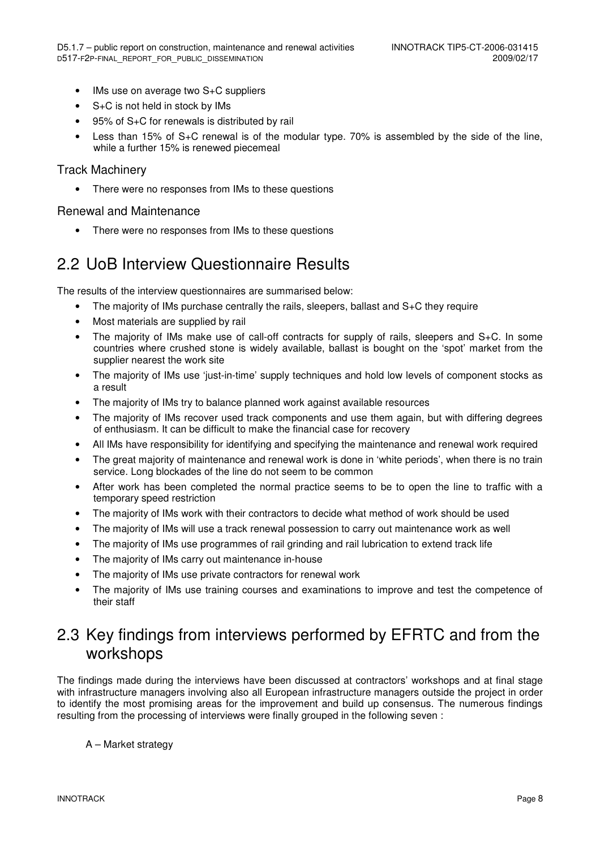- IMs use on average two S+C suppliers
- S+C is not held in stock by IMs
- 95% of S+C for renewals is distributed by rail
- Less than 15% of S+C renewal is of the modular type. 70% is assembled by the side of the line, while a further 15% is renewed piecemeal

#### Track Machinery

There were no responses from IMs to these questions

#### Renewal and Maintenance

• There were no responses from IMs to these questions

## 2.2 UoB Interview Questionnaire Results

The results of the interview questionnaires are summarised below:

- The majority of IMs purchase centrally the rails, sleepers, ballast and S+C they require
- Most materials are supplied by rail
- The majority of IMs make use of call-off contracts for supply of rails, sleepers and S+C. In some countries where crushed stone is widely available, ballast is bought on the 'spot' market from the supplier nearest the work site
- The majority of IMs use 'just-in-time' supply techniques and hold low levels of component stocks as a result
- The majority of IMs try to balance planned work against available resources
- The majority of IMs recover used track components and use them again, but with differing degrees of enthusiasm. It can be difficult to make the financial case for recovery
- All IMs have responsibility for identifying and specifying the maintenance and renewal work required
- The great majority of maintenance and renewal work is done in 'white periods', when there is no train service. Long blockades of the line do not seem to be common
- After work has been completed the normal practice seems to be to open the line to traffic with a temporary speed restriction
- The majority of IMs work with their contractors to decide what method of work should be used
- The majority of IMs will use a track renewal possession to carry out maintenance work as well
- The majority of IMs use programmes of rail grinding and rail lubrication to extend track life
- The majority of IMs carry out maintenance in-house
- The majority of IMs use private contractors for renewal work
- The majority of IMs use training courses and examinations to improve and test the competence of their staff

## 2.3 Key findings from interviews performed by EFRTC and from the workshops

The findings made during the interviews have been discussed at contractors' workshops and at final stage with infrastructure managers involving also all European infrastructure managers outside the project in order to identify the most promising areas for the improvement and build up consensus. The numerous findings resulting from the processing of interviews were finally grouped in the following seven :

A – Market strategy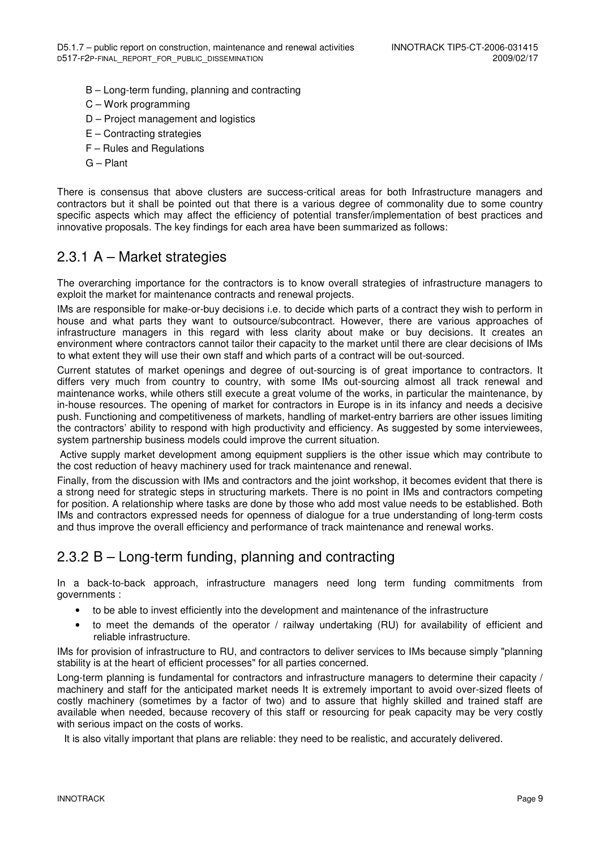- B Long-term funding, planning and contracting
- C Work programming
- D Project management and logistics
- E Contracting strategies
- F Rules and Regulations
- G Plant

There is consensus that above clusters are success-critical areas for both Infrastructure managers and contractors but it shall be pointed out that there is a various degree of commonality due to some country specific aspects which may affect the efficiency of potential transfer/implementation of best practices and innovative proposals. The key findings for each area have been summarized as follows:

### 2.3.1 A – Market strategies

The overarching importance for the contractors is to know overall strategies of infrastructure managers to exploit the market for maintenance contracts and renewal projects.

IMs are responsible for make-or-buy decisions i.e. to decide which parts of a contract they wish to perform in house and what parts they want to outsource/subcontract. However, there are various approaches of infrastructure managers in this regard with less clarity about make or buy decisions. It creates an environment where contractors cannot tailor their capacity to the market until there are clear decisions of IMs to what extent they will use their own staff and which parts of a contract will be out-sourced.

Current statutes of market openings and degree of out-sourcing is of great importance to contractors. It differs very much from country to country, with some IMs out-sourcing almost all track renewal and maintenance works, while others still execute a great volume of the works, in particular the maintenance, by in-house resources. The opening of market for contractors in Europe is in its infancy and needs a decisive push. Functioning and competitiveness of markets, handling of market-entry barriers are other issues limiting the contractors' ability to respond with high productivity and efficiency. As suggested by some interviewees, system partnership business models could improve the current situation.

 Active supply market development among equipment suppliers is the other issue which may contribute to the cost reduction of heavy machinery used for track maintenance and renewal.

Finally, from the discussion with IMs and contractors and the joint workshop, it becomes evident that there is a strong need for strategic steps in structuring markets. There is no point in IMs and contractors competing for position. A relationship where tasks are done by those who add most value needs to be established. Both IMs and contractors expressed needs for openness of dialogue for a true understanding of long-term costs and thus improve the overall efficiency and performance of track maintenance and renewal works.

### 2.3.2 B – Long-term funding, planning and contracting

In a back-to-back approach, infrastructure managers need long term funding commitments from governments :

- to be able to invest efficiently into the development and maintenance of the infrastructure
- to meet the demands of the operator / railway undertaking (RU) for availability of efficient and reliable infrastructure.

IMs for provision of infrastructure to RU, and contractors to deliver services to IMs because simply "planning stability is at the heart of efficient processes" for all parties concerned.

Long-term planning is fundamental for contractors and infrastructure managers to determine their capacity / machinery and staff for the anticipated market needs It is extremely important to avoid over-sized fleets of costly machinery (sometimes by a factor of two) and to assure that highly skilled and trained staff are available when needed, because recovery of this staff or resourcing for peak capacity may be very costly with serious impact on the costs of works.

It is also vitally important that plans are reliable: they need to be realistic, and accurately delivered.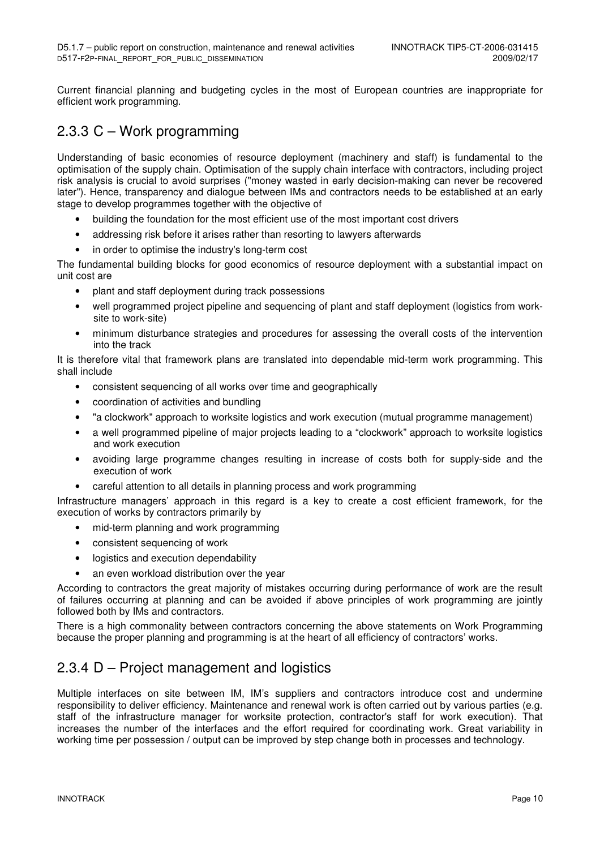Current financial planning and budgeting cycles in the most of European countries are inappropriate for efficient work programming.

### 2.3.3 C – Work programming

Understanding of basic economies of resource deployment (machinery and staff) is fundamental to the optimisation of the supply chain. Optimisation of the supply chain interface with contractors, including project risk analysis is crucial to avoid surprises ("money wasted in early decision-making can never be recovered later"). Hence, transparency and dialogue between IMs and contractors needs to be established at an early stage to develop programmes together with the objective of

- building the foundation for the most efficient use of the most important cost drivers
- addressing risk before it arises rather than resorting to lawyers afterwards
- in order to optimise the industry's long-term cost

The fundamental building blocks for good economics of resource deployment with a substantial impact on unit cost are

- plant and staff deployment during track possessions
- well programmed project pipeline and sequencing of plant and staff deployment (logistics from worksite to work-site)
- minimum disturbance strategies and procedures for assessing the overall costs of the intervention into the track

It is therefore vital that framework plans are translated into dependable mid-term work programming. This shall include

- consistent sequencing of all works over time and geographically
- coordination of activities and bundling
- "a clockwork" approach to worksite logistics and work execution (mutual programme management)
- a well programmed pipeline of major projects leading to a "clockwork" approach to worksite logistics and work execution
- avoiding large programme changes resulting in increase of costs both for supply-side and the execution of work
- careful attention to all details in planning process and work programming

Infrastructure managers' approach in this regard is a key to create a cost efficient framework, for the execution of works by contractors primarily by

- mid-term planning and work programming
- consistent sequencing of work
- logistics and execution dependability
- an even workload distribution over the year

According to contractors the great majority of mistakes occurring during performance of work are the result of failures occurring at planning and can be avoided if above principles of work programming are jointly followed both by IMs and contractors.

There is a high commonality between contractors concerning the above statements on Work Programming because the proper planning and programming is at the heart of all efficiency of contractors' works.

## 2.3.4 D – Project management and logistics

Multiple interfaces on site between IM, IM's suppliers and contractors introduce cost and undermine responsibility to deliver efficiency. Maintenance and renewal work is often carried out by various parties (e.g. staff of the infrastructure manager for worksite protection, contractor's staff for work execution). That increases the number of the interfaces and the effort required for coordinating work. Great variability in working time per possession / output can be improved by step change both in processes and technology.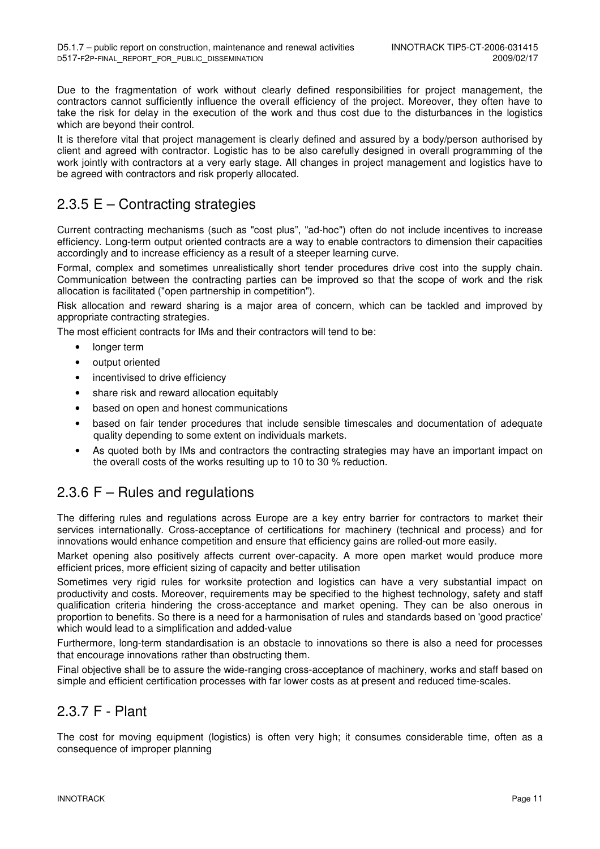Due to the fragmentation of work without clearly defined responsibilities for project management, the contractors cannot sufficiently influence the overall efficiency of the project. Moreover, they often have to take the risk for delay in the execution of the work and thus cost due to the disturbances in the logistics which are beyond their control.

It is therefore vital that project management is clearly defined and assured by a body/person authorised by client and agreed with contractor. Logistic has to be also carefully designed in overall programming of the work jointly with contractors at a very early stage. All changes in project management and logistics have to be agreed with contractors and risk properly allocated.

### 2.3.5 E – Contracting strategies

Current contracting mechanisms (such as "cost plus", "ad-hoc") often do not include incentives to increase efficiency. Long-term output oriented contracts are a way to enable contractors to dimension their capacities accordingly and to increase efficiency as a result of a steeper learning curve.

Formal, complex and sometimes unrealistically short tender procedures drive cost into the supply chain. Communication between the contracting parties can be improved so that the scope of work and the risk allocation is facilitated ("open partnership in competition").

Risk allocation and reward sharing is a major area of concern, which can be tackled and improved by appropriate contracting strategies.

The most efficient contracts for IMs and their contractors will tend to be:

- longer term
- output oriented
- incentivised to drive efficiency
- share risk and reward allocation equitably
- based on open and honest communications
- based on fair tender procedures that include sensible timescales and documentation of adequate quality depending to some extent on individuals markets.
- As quoted both by IMs and contractors the contracting strategies may have an important impact on the overall costs of the works resulting up to 10 to 30 % reduction.

### 2.3.6 F – Rules and regulations

The differing rules and regulations across Europe are a key entry barrier for contractors to market their services internationally. Cross-acceptance of certifications for machinery (technical and process) and for innovations would enhance competition and ensure that efficiency gains are rolled-out more easily.

Market opening also positively affects current over-capacity. A more open market would produce more efficient prices, more efficient sizing of capacity and better utilisation

Sometimes very rigid rules for worksite protection and logistics can have a very substantial impact on productivity and costs. Moreover, requirements may be specified to the highest technology, safety and staff qualification criteria hindering the cross-acceptance and market opening. They can be also onerous in proportion to benefits. So there is a need for a harmonisation of rules and standards based on 'good practice' which would lead to a simplification and added-value

Furthermore, long-term standardisation is an obstacle to innovations so there is also a need for processes that encourage innovations rather than obstructing them.

Final objective shall be to assure the wide-ranging cross-acceptance of machinery, works and staff based on simple and efficient certification processes with far lower costs as at present and reduced time-scales.

### 2.3.7 F - Plant

The cost for moving equipment (logistics) is often very high; it consumes considerable time, often as a consequence of improper planning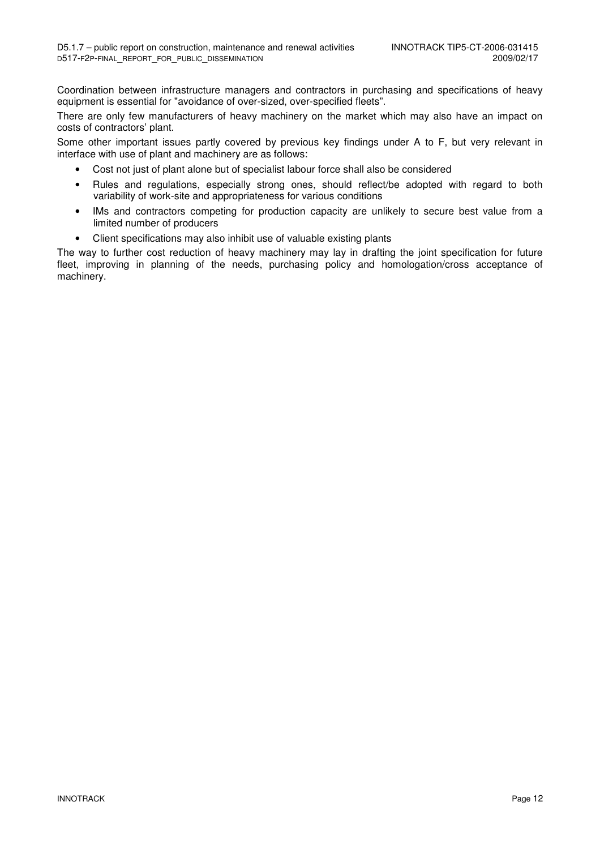Coordination between infrastructure managers and contractors in purchasing and specifications of heavy equipment is essential for "avoidance of over-sized, over-specified fleets".

There are only few manufacturers of heavy machinery on the market which may also have an impact on costs of contractors' plant.

Some other important issues partly covered by previous key findings under A to F, but very relevant in interface with use of plant and machinery are as follows:

- Cost not just of plant alone but of specialist labour force shall also be considered
- Rules and regulations, especially strong ones, should reflect/be adopted with regard to both variability of work-site and appropriateness for various conditions
- IMs and contractors competing for production capacity are unlikely to secure best value from a limited number of producers
- Client specifications may also inhibit use of valuable existing plants

The way to further cost reduction of heavy machinery may lay in drafting the joint specification for future fleet, improving in planning of the needs, purchasing policy and homologation/cross acceptance of machinery.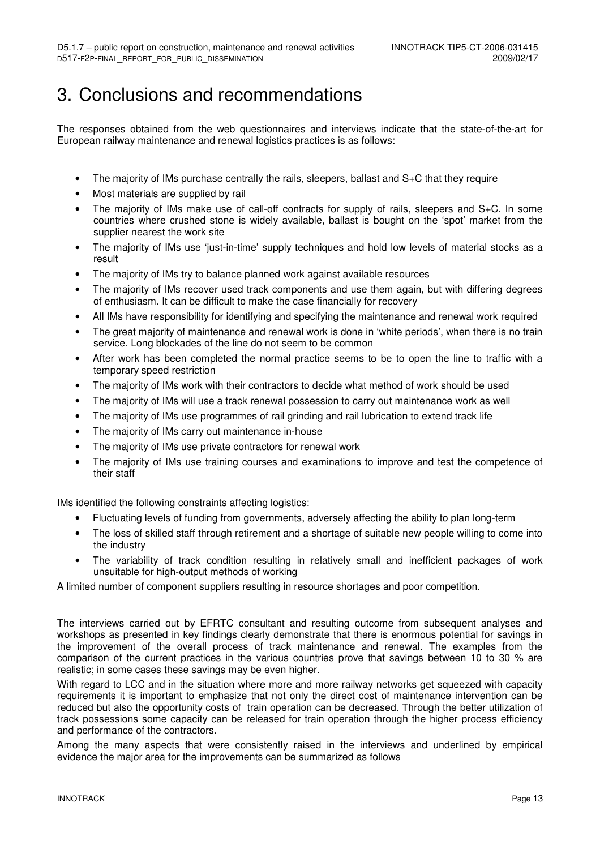## 3. Conclusions and recommendations

The responses obtained from the web questionnaires and interviews indicate that the state-of-the-art for European railway maintenance and renewal logistics practices is as follows:

- The majority of IMs purchase centrally the rails, sleepers, ballast and  $S+C$  that they require
- Most materials are supplied by rail
- The majority of IMs make use of call-off contracts for supply of rails, sleepers and S+C. In some countries where crushed stone is widely available, ballast is bought on the 'spot' market from the supplier nearest the work site
- The majority of IMs use 'just-in-time' supply techniques and hold low levels of material stocks as a result
- The majority of IMs try to balance planned work against available resources
- The majority of IMs recover used track components and use them again, but with differing degrees of enthusiasm. It can be difficult to make the case financially for recovery
- All IMs have responsibility for identifying and specifying the maintenance and renewal work required
- The great majority of maintenance and renewal work is done in 'white periods', when there is no train service. Long blockades of the line do not seem to be common
- After work has been completed the normal practice seems to be to open the line to traffic with a temporary speed restriction
- The majority of IMs work with their contractors to decide what method of work should be used
- The majority of IMs will use a track renewal possession to carry out maintenance work as well
- The majority of IMs use programmes of rail grinding and rail lubrication to extend track life
- The majority of IMs carry out maintenance in-house
- The majority of IMs use private contractors for renewal work
- The majority of IMs use training courses and examinations to improve and test the competence of their staff

IMs identified the following constraints affecting logistics:

- Fluctuating levels of funding from governments, adversely affecting the ability to plan long-term
- The loss of skilled staff through retirement and a shortage of suitable new people willing to come into the industry
- The variability of track condition resulting in relatively small and inefficient packages of work unsuitable for high-output methods of working

A limited number of component suppliers resulting in resource shortages and poor competition.

The interviews carried out by EFRTC consultant and resulting outcome from subsequent analyses and workshops as presented in key findings clearly demonstrate that there is enormous potential for savings in the improvement of the overall process of track maintenance and renewal. The examples from the comparison of the current practices in the various countries prove that savings between 10 to 30 % are realistic; in some cases these savings may be even higher.

With regard to LCC and in the situation where more and more railway networks get squeezed with capacity requirements it is important to emphasize that not only the direct cost of maintenance intervention can be reduced but also the opportunity costs of train operation can be decreased. Through the better utilization of track possessions some capacity can be released for train operation through the higher process efficiency and performance of the contractors.

Among the many aspects that were consistently raised in the interviews and underlined by empirical evidence the major area for the improvements can be summarized as follows